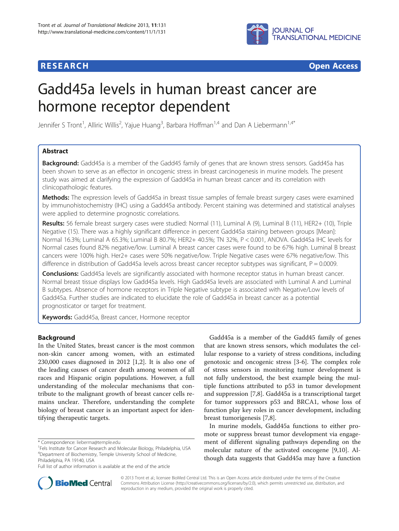## **RESEARCH CHEAR CHEAR CHEAR CHEAR CHEAR CHEAR CHEAR CHEAR CHEAR CHEAR CHEAR CHEAR CHEAR CHEAR CHEAR CHEAR CHEAR**



# Gadd45a levels in human breast cancer are hormone receptor dependent

Jennifer S Tront<sup>1</sup>, Alliric Willis<sup>2</sup>, Yajue Huang<sup>3</sup>, Barbara Hoffman<sup>1,4</sup> and Dan A Liebermann<sup>1,4\*</sup>

## Abstract

**Background:** Gadd45a is a member of the Gadd45 family of genes that are known stress sensors. Gadd45a has been shown to serve as an effector in oncogenic stress in breast carcinogenesis in murine models. The present study was aimed at clarifying the expression of Gadd45a in human breast cancer and its correlation with clinicopathologic features.

Methods: The expression levels of Gadd45a in breast tissue samples of female breast surgery cases were examined by immunohistochemistry (IHC) using a Gadd45a antibody. Percent staining was determined and statistical analyses were applied to determine prognostic correlations.

Results: 56 female breast surgery cases were studied: Normal (11), Luminal A (9), Luminal B (11), HER2+ (10), Triple Negative (15). There was a highly significant difference in percent Gadd45a staining between groups [Mean]: Normal 16.3%; Luminal A 65.3%; Luminal B 80.7%; HER2+ 40.5%; TN 32%, P < 0.001, ANOVA. Gadd45a IHC levels for Normal cases found 82% negative/low. Luminal A breast cancer cases were found to be 67% high. Luminal B breast cancers were 100% high. Her2+ cases were 50% negative/low. Triple Negative cases were 67% negative/low. This difference in distribution of Gadd45a levels across breast cancer receptor subtypes was significant,  $P = 0.0009$ .

**Conclusions:** Gadd45a levels are significantly associated with hormone receptor status in human breast cancer. Normal breast tissue displays low Gadd45a levels. High Gadd45a levels are associated with Luminal A and Luminal B subtypes. Absence of hormone receptors in Triple Negative subtype is associated with Negative/Low levels of Gadd45a. Further studies are indicated to elucidate the role of Gadd45a in breast cancer as a potential prognosticator or target for treatment.

Keywords: Gadd45a, Breast cancer, Hormone receptor

## Background

In the United States, breast cancer is the most common non-skin cancer among women, with an estimated 230,000 cases diagnosed in 2012 [\[1,2](#page-5-0)]. It is also one of the leading causes of cancer death among women of all races and Hispanic origin populations. However, a full understanding of the molecular mechanisms that contribute to the malignant growth of breast cancer cells remains unclear. Therefore, understanding the complete biology of breast cancer is an important aspect for identifying therapeutic targets.

Gadd45a is a member of the Gadd45 family of genes that are known stress sensors, which modulates the cellular response to a variety of stress conditions, including genotoxic and oncogenic stress [[3-6](#page-5-0)]. The complex role of stress sensors in monitoring tumor development is not fully understood, the best example being the multiple functions attributed to p53 in tumor development and suppression [[7,8\]](#page-5-0). Gadd45a is a transcriptional target for tumor suppressors p53 and BRCA1, whose loss of function play key roles in cancer development, including breast tumorigenesis [\[7](#page-5-0),[8](#page-5-0)].

In murine models, Gadd45a functions to either promote or suppress breast tumor development via engagement of different signaling pathways depending on the molecular nature of the activated oncogene [[9,10\]](#page-5-0). Although data suggests that Gadd45a may have a function



© 2013 Tront et al.; licensee BioMed Central Ltd. This is an Open Access article distributed under the terms of the Creative Commons Attribution License [\(http://creativecommons.org/licenses/by/2.0\)](http://creativecommons.org/licenses/by/2.0), which permits unrestricted use, distribution, and reproduction in any medium, provided the original work is properly cited.

<sup>\*</sup> Correspondence: [lieberma@temple.edu](mailto:lieberma@temple.edu) <sup>1</sup>

<sup>&</sup>lt;sup>1</sup>Fels Institute for Cancer Research and Molecular Biology, Philadelphia, USA 4 Department of Biochemistry, Temple University School of Medicine, Philadelphia, PA 19140, USA

Full list of author information is available at the end of the article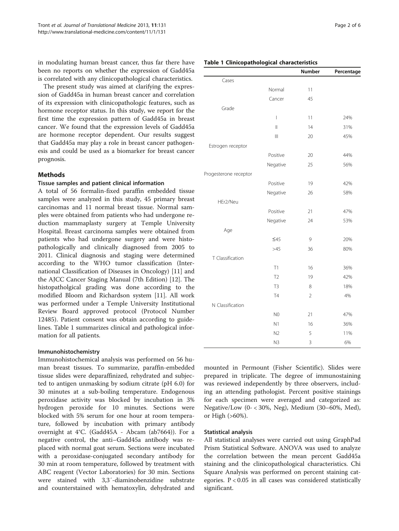in modulating human breast cancer, thus far there have been no reports on whether the expression of Gadd45a is correlated with any clinicopathological characteristics.

The present study was aimed at clarifying the expression of Gadd45a in human breast cancer and correlation of its expression with clinicopathologic features, such as hormone receptor status. In this study, we report for the first time the expression pattern of Gadd45a in breast cancer. We found that the expression levels of Gadd45a are hormone receptor dependent. Our results suggest that Gadd45a may play a role in breast cancer pathogenesis and could be used as a biomarker for breast cancer prognosis.

## Methods

#### Tissue samples and patient clinical information

A total of 56 formalin-fixed paraffin embedded tissue samples were analyzed in this study, 45 primary breast carcinomas and 11 normal breast tissue. Normal samples were obtained from patients who had undergone reduction mammaplasty surgery at Temple University Hospital. Breast carcinoma samples were obtained from patients who had undergone surgery and were histopathologically and clinically diagnosed from 2005 to 2011. Clinical diagnosis and staging were determined according to the WHO tumor classification (International Classification of Diseases in Oncology) [\[11](#page-5-0)] and the AJCC Cancer Staging Manual (7th Edition) [\[12](#page-5-0)]. The histopatholgical grading was done according to the modified Bloom and Richardson system [[11\]](#page-5-0). All work was performed under a Temple University Institutional Review Board approved protocol (Protocol Number 12485). Patient consent was obtain according to guidelines. Table 1 summarizes clinical and pathological information for all patients.

#### Immunohistochemistry

Immunohistochemical analysis was performed on 56 human breast tissues. To summarize, paraffin-embedded tissue slides were deparaffinized, rehydrated and subjected to antigen unmasking by sodium citrate (pH 6.0) for 30 minutes at a sub-boiling temperature. Endogenous peroxidase activity was blocked by incubation in 3% hydrogen peroxide for 10 minutes. Sections were blocked with 5% serum for one hour at room temperature, followed by incubation with primary antibody overnight at 4°C. (Gadd45A - Abcam (ab7664)). For a negative control, the anti–Gadd45a antibody was replaced with normal goat serum. Sections were incubated with a peroxidase-conjugated secondary antibody for 30 min at room temperature, followed by treatment with ABC reagent (Vector Laboratories) for 30 min. Sections were stained with 3,3′-diaminobenzidine substrate and counterstained with hematoxylin, dehydrated and

|                       |                                      | Number         | Percentage |
|-----------------------|--------------------------------------|----------------|------------|
| Cases                 |                                      |                |            |
|                       | Normal                               | 11             |            |
|                       | Cancer                               | 45             |            |
| Grade                 |                                      |                |            |
|                       | $\overline{\phantom{a}}$             | 11             | 24%        |
|                       | $\mathbf{  }$                        | 14             | 31%        |
|                       | $\left\vert \right\vert \right\vert$ | 20             | 45%        |
| Estrogen receptor     |                                      |                |            |
|                       | Positive                             | 20             | 44%        |
|                       | Negative                             | 25             | 56%        |
| Progesterone receptor |                                      |                |            |
|                       | Positive                             | 19             | 42%        |
|                       | Negative                             | 26             | 58%        |
| HEr2/Neu              |                                      |                |            |
|                       | Positive                             | 21             | 47%        |
|                       | Negative                             | 24             | 53%        |
| Age                   |                                      |                |            |
|                       | $\leq 45$                            | 9              | 20%        |
|                       | >45                                  | 36             | 80%        |
| T Classification      |                                      |                |            |
|                       | T1                                   | 16             | 36%        |
|                       | T <sub>2</sub>                       | 19             | 42%        |
|                       | T <sub>3</sub>                       | 8              | 18%        |
|                       | T4                                   | $\overline{2}$ | 4%         |
| N Classification      |                                      |                |            |
|                       | N <sub>0</sub>                       | 21             | 47%        |
|                       | N1                                   | 16             | 36%        |
|                       | N <sub>2</sub>                       | 5              | 11%        |
|                       | N <sub>3</sub>                       | 3              | 6%         |

mounted in Permount (Fisher Scientific). Slides were prepared in triplicate. The degree of immunostaining was reviewed independently by three observers, including an attending pathologist. Percent positive stainings for each specimen were averaged and categorized as: Negative/Low (0- < 30%, Neg), Medium (30–60%, Med), or High (>60%).

## Statistical analysis

All statistical analyses were carried out using GraphPad Prism Statistical Software. ANOVA was used to analyze the correlation between the mean percent Gadd45a staining and the clinicopathological characteristics. Chi Square Analysis was performed on percent staining categories. P < 0.05 in all cases was considered statistically significant.

### Table 1 Clinicopathological characteristics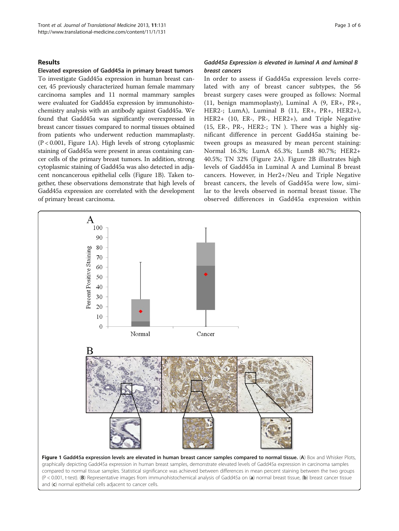#### Results

Elevated expression of Gadd45a in primary breast tumors To investigate Gadd45a expression in human breast cancer, 45 previously characterized human female mammary carcinoma samples and 11 normal mammary samples were evaluated for Gadd45a expression by immunohistochemistry analysis with an antibody against Gadd45a. We found that Gadd45a was significantly overexpressed in breast cancer tissues compared to normal tissues obtained from patients who underwent reduction mammaplasty. (P < 0.001, Figure 1A). High levels of strong cytoplasmic staining of Gadd45a were present in areas containing cancer cells of the primary breast tumors. In addition, strong cytoplasmic staining of Gadd45a was also detected in adjacent noncancerous epithelial cells (Figure 1B). Taken together, these observations demonstrate that high levels of Gadd45a expression are correlated with the development of primary breast carcinoma.

## Gadd45a Expression is elevated in luminal A and luminal B breast cancers

In order to assess if Gadd45a expression levels correlated with any of breast cancer subtypes, the 56 breast surgery cases were grouped as follows: Normal (11, benign mammoplasty), Luminal A (9, ER+, PR+, HER2-; LumA), Luminal B (11, ER+, PR+, HER2+), HER2+ (10, ER-, PR-, HER2+), and Triple Negative (15, ER-, PR-, HER2-; TN ). There was a highly significant difference in percent Gadd45a staining between groups as measured by mean percent staining: Normal 16.3%; LumA 65.3%; LumB 80.7%; HER2+ 40.5%; TN 32% (Figure [2A](#page-3-0)). Figure [2B](#page-3-0) illustrates high levels of Gadd45a in Luminal A and Luminal B breast cancers. However, in Her2+/Neu and Triple Negative breast cancers, the levels of Gadd45a were low, similar to the levels observed in normal breast tissue. The observed differences in Gadd45a expression within

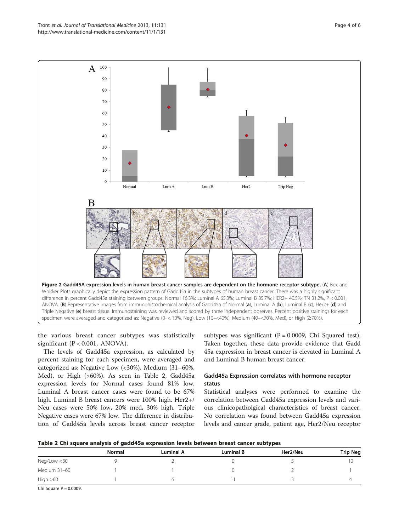the various breast cancer subtypes was statistically significant  $(P < 0.001$ , ANOVA).

The levels of Gadd45a expression, as calculated by percent staining for each specimen, were averaged and categorized as: Negative Low (<30%), Medium (31–60%, Med), or High (>60%). As seen in Table 2, Gadd45a expression levels for Normal cases found 81% low. Luminal A breast cancer cases were found to be 67% high. Luminal B breast cancers were 100% high. Her2+/ Neu cases were 50% low, 20% med, 30% high. Triple Negative cases were 67% low. The difference in distribution of Gadd45a levels across breast cancer receptor

subtypes was significant ( $P = 0.0009$ , Chi Squared test). Taken together, these data provide evidence that Gadd 45a expression in breast cancer is elevated in Luminal A and Luminal B human breast cancer.

## Gadd45a Expression correlates with hormone receptor status

Statistical analyses were performed to examine the correlation between Gadd45a expression levels and various clinicopatholgical characteristics of breast cancer. No correlation was found between Gadd45a expression levels and cancer grade, patient age, Her2/Neu receptor



|              |        |           |                  | ---      |                 |
|--------------|--------|-----------|------------------|----------|-----------------|
|              | Normal | Luminal A | <b>Luminal B</b> | Her2/Neu | <b>Trip Neg</b> |
| Neg/Low <30  |        |           |                  |          | 10              |
| Medium 31-60 |        |           |                  |          |                 |
| High $>60$   |        |           |                  |          |                 |

Chi Square  $P = 0.0009$ .

<span id="page-3-0"></span>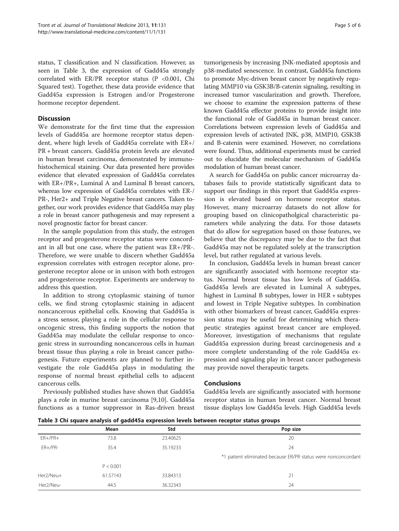status, T classification and N classification. However, as seen in Table 3, the expression of Gadd45a strongly correlated with ER/PR receptor status (P <0.001, Chi Squared test). Together, these data provide evidence that Gadd45a expression is Estrogen and/or Progesterone hormone receptor dependent.

## **Discussion**

We demonstrate for the first time that the expression levels of Gadd45a are hormone receptor status dependent, where high levels of Gadd45a correlate with ER+/ PR + breast cancers. Gadd45a protein levels are elevated in human breast carcinoma, demonstrated by immunohistochemical staining. Our data presented here provides evidence that elevated expression of Gadd45a correlates with ER+/PR+, Luminal A and Luminal B breast cancers, whereas low expression of Gadd45a correlates with ER-/ PR-, Her2+ and Triple Negative breast cancers. Taken together, our work provides evidence that Gadd45a may play a role in breast cancer pathogenesis and may represent a novel prognostic factor for breast cancer.

In the sample population from this study, the estrogen receptor and progesterone receptor status were concordant in all but one case, where the patient was ER+/PR-. Therefore, we were unable to discern whether Gadd45a expression correlates with estrogen receptor alone, progesterone receptor alone or in unison with both estrogen and progesterone receptor. Experiments are underway to address this question.

In addition to strong cytoplasmic staining of tumor cells, we find strong cytoplasmic staining in adjacent noncancerous epithelial cells. Knowing that Gadd45a is a stress sensor, playing a role in the cellular response to oncogenic stress, this finding supports the notion that Gadd45a may modulate the cellular response to oncogenic stress in surrounding noncancerous cells in human breast tissue thus playing a role in breast cancer pathogenesis. Future experiments are planned to further investigate the role Gadd45a plays in modulating the response of normal breast epithelial cells to adjacent cancerous cells.

Previously published studies have shown that Gadd45a plays a role in murine breast carcinoma [[9,10\]](#page-5-0). Gadd45a functions as a tumor suppressor in Ras-driven breast

tumorigenesis by increasing JNK-mediated apoptosis and p38-mediated senescence. In contrast, Gadd45a functions to promote Myc-driven breast cancer by negatively regulating MMP10 via GSK3B/B-catenin signaling, resulting in increased tumor vascularization and growth. Therefore, we choose to examine the expression patterns of these known Gadd45a effector proteins to provide insight into the functional role of Gadd45a in human breast cancer. Correlations between expression levels of Gadd45a and expression levels of activated JNK, p38, MMP10, GSK3B and B-catenin were examined. However, no correlations were found. Thus, additional experiments must be carried out to elucidate the molecular mechanism of Gadd45a modulation of human breast cancer.

A search for Gadd45a on public cancer microarray databases fails to provide statistically significant data to support our findings in this report that Gadd45a expression is elevated based on hormone receptor status. However, many microarray datasets do not allow for grouping based on clinicopatholgical characteristic parameters while analyzing the data. For those datasets that do allow for segregation based on those features, we believe that the discrepancy may be due to the fact that Gadd45a may not be regulated solely at the transcription level, but rather regulated at various levels.

In conclusion, Gadd45a levels in human breast cancer are significantly associated with hormone receptor status. Normal breast tissue has low levels of Gadd45a. Gadd45a levels are elevated in Luminal A subtypes, highest in Luminal B subtypes, lower in HER + subtypes and lowest in Triple Negative subtypes. In combination with other biomarkers of breast cancer, Gadd45a expression status may be useful for determining which therapeutic strategies against breast cancer are employed. Moreover, investigation of mechanisms that regulate Gadd45a expression during breast carcinogenesis and a more complete understanding of the role Gadd45a expression and signaling play in breast cancer pathogenesis may provide novel therapeutic targets.

#### Conclusions

Gadd45a levels are significantly associated with hormone receptor status in human breast cancer. Normal breast tissue displays low Gadd45a levels. High Gadd45a levels

Table 3 Chi square analysis of gadd45a expression levels between receptor status groups

|           | Mean      | Std      | Pop size                                                      |
|-----------|-----------|----------|---------------------------------------------------------------|
| $ER+/PR+$ | 73.8      | 23,40625 | 20                                                            |
| $ER+/PR-$ | 35.4      | 35.19233 | 24                                                            |
|           |           |          | *1 patient eliminated because ER/PR status were nonconcordant |
|           | P < 0.001 |          |                                                               |
| Her2/Neu+ | 61.57143  | 33.84313 | 21                                                            |
| Her2/Neu- | 44.5      | 36.32343 | 24                                                            |